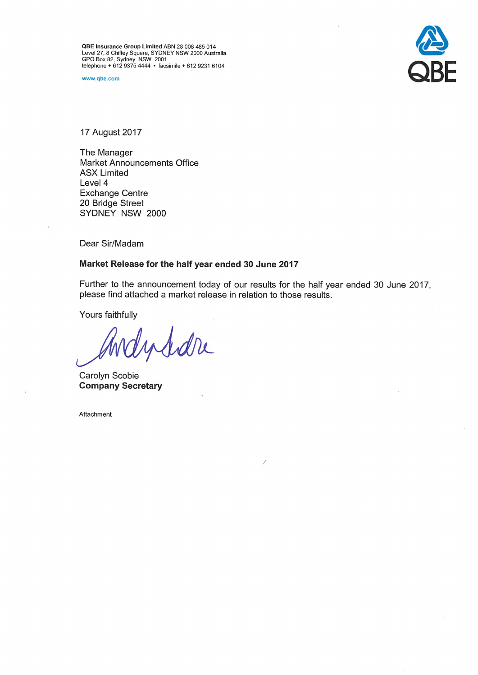QBE Insurance Group Limited ABN 28 008 485 014<br>Level 27, 8 Chifley Square, SYDNEY NSW 2000 Australia<br>GPO Box 82, Sydney NSW 2001<br>telephone + 612 9375 4444 • facsimile + 612 9231 6104

www.qbe.com



17 August 2017

The Manager **Market Announcements Office ASX Limited** Level 4 **Exchange Centre** 20 Bridge Street SYDNEY NSW 2000

Dear Sir/Madam

# Market Release for the half year ended 30 June 2017

Further to the announcement today of our results for the half year ended 30 June 2017, please find attached a market release in relation to those results.

Yours faithfully

Indidre

Carolyn Scobie **Company Secretary** 

Attachment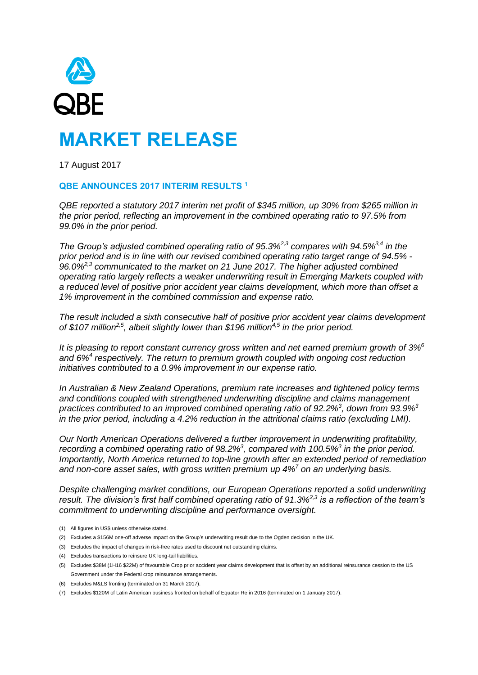

17 August 2017

## **QBE ANNOUNCES 2017 INTERIM RESULTS <sup>1</sup>**

*QBE reported a statutory 2017 interim net profit of \$345 million, up 30% from \$265 million in the prior period, reflecting an improvement in the combined operating ratio to 97.5% from 99.0% in the prior period.*

*The Group's adjusted combined operating ratio of 95.3%2,3 compares with 94.5%3,4 in the prior period and is in line with our revised combined operating ratio target range of 94.5% - 96.0%2,3 communicated to the market on 21 June 2017. The higher adjusted combined operating ratio largely reflects a weaker underwriting result in Emerging Markets coupled with a reduced level of positive prior accident year claims development, which more than offset a 1% improvement in the combined commission and expense ratio.*

*The result included a sixth consecutive half of positive prior accident year claims development of \$107 million 2,5 , albeit slightly lower than \$196 million4,5 in the prior period.*

*It is pleasing to report constant currency gross written and net earned premium growth of 3%<sup>6</sup> and 6%<sup>4</sup> respectively. The return to premium growth coupled with ongoing cost reduction initiatives contributed to a 0.9% improvement in our expense ratio.* 

*In Australian & New Zealand Operations, premium rate increases and tightened policy terms and conditions coupled with strengthened underwriting discipline and claims management practices contributed to an improved combined operating ratio of 92.2%<sup>3</sup> , down from 93.9%<sup>3</sup> in the prior period, including a 4.2% reduction in the attritional claims ratio (excluding LMI).* 

*Our North American Operations delivered a further improvement in underwriting profitability, recording a combined operating ratio of 98.2%<sup>3</sup> , compared with 100.5%<sup>3</sup> in the prior period. Importantly, North America returned to top-line growth after an extended period of remediation and non-core asset sales, with gross written premium up 4%<sup>7</sup> on an underlying basis.* 

*Despite challenging market conditions, our European Operations reported a solid underwriting result. The division's first half combined operating ratio of 91.3%2,3 is a reflection of the team's commitment to underwriting discipline and performance oversight.* 

- (1) All figures in US\$ unless otherwise stated.
- (2) Excludes a \$156M one-off adverse impact on the Group's underwriting result due to the Ogden decision in the UK.
- (3) Excludes the impact of changes in risk-free rates used to discount net outstanding claims.
- (4) Excludes transactions to reinsure UK long-tail liabilities.
- (5) Excludes \$38M (1H16 \$22M) of favourable Crop prior accident year claims development that is offset by an additional reinsurance cession to the US Government under the Federal crop reinsurance arrangements.
- (6) Excludes M&LS fronting (terminated on 31 March 2017).
- (7) Excludes \$120M of Latin American business fronted on behalf of Equator Re in 2016 (terminated on 1 January 2017).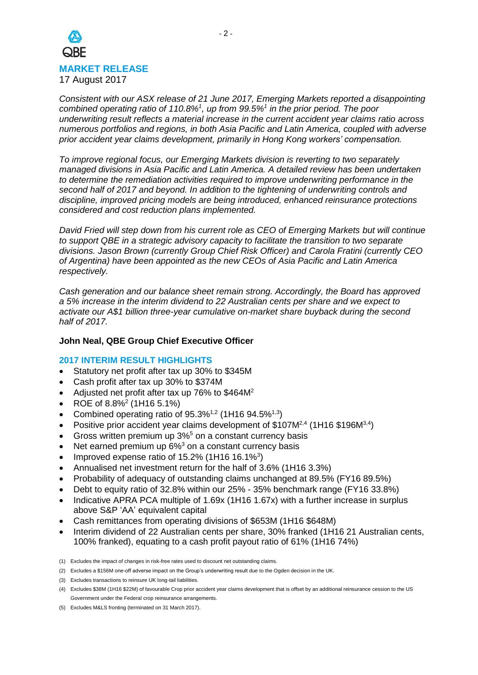

*Consistent with our ASX release of 21 June 2017, Emerging Markets reported a disappointing combined operating ratio of 110.8%<sup>1</sup> , up from 99.5%<sup>1</sup> in the prior period. The poor underwriting result reflects a material increase in the current accident year claims ratio across numerous portfolios and regions, in both Asia Pacific and Latin America, coupled with adverse prior accident year claims development, primarily in Hong Kong workers' compensation.* 

*To improve regional focus, our Emerging Markets division is reverting to two separately managed divisions in Asia Pacific and Latin America. A detailed review has been undertaken to determine the remediation activities required to improve underwriting performance in the second half of 2017 and beyond. In addition to the tightening of underwriting controls and discipline, improved pricing models are being introduced, enhanced reinsurance protections considered and cost reduction plans implemented.*

*David Fried will step down from his current role as CEO of Emerging Markets but will continue to support QBE in a strategic advisory capacity to facilitate the transition to two separate divisions. Jason Brown (currently Group Chief Risk Officer) and Carola Fratini (currently CEO of Argentina) have been appointed as the new CEOs of Asia Pacific and Latin America respectively.*

*Cash generation and our balance sheet remain strong. Accordingly, the Board has approved a 5% increase in the interim dividend to 22 Australian cents per share and we expect to activate our A\$1 billion three-year cumulative on-market share buyback during the second half of 2017.*

## **John Neal, QBE Group Chief Executive Officer**

## **2017 INTERIM RESULT HIGHLIGHTS**

- Statutory net profit after tax up 30% to \$345M
- Cash profit after tax up 30% to \$374M
- Adjusted net profit after tax up 76% to \$464M<sup>2</sup>
- ROE of  $8.8\%$ <sup>2</sup> (1H16 5.1%)
- Combined operating ratio of  $95.3\%^{1,2}$  (1H16  $94.5\%^{1,3}$ )
- Positive prior accident year claims development of  $$107M<sup>2,4</sup>$  (1H16  $$196M<sup>3,4</sup>$ )
- Gross written premium up  $3\%$ <sup>5</sup> on a constant currency basis
- Net earned premium up  $6\%$ <sup>3</sup> on a constant currency basis
- Improved expense ratio of  $15.2\%$  (1H16 16.1%<sup>3</sup>)
- Annualised net investment return for the half of 3.6% (1H16 3.3%)
- Probability of adequacy of outstanding claims unchanged at 89.5% (FY16 89.5%)
- Debt to equity ratio of 32.8% within our 25% 35% benchmark range (FY16 33.8%)
- Indicative APRA PCA multiple of 1.69x (1H16 1.67x) with a further increase in surplus above S&P 'AA' equivalent capital
- Cash remittances from operating divisions of \$653M (1H16 \$648M)
- Interim dividend of 22 Australian cents per share, 30% franked (1H16 21 Australian cents, 100% franked), equating to a cash profit payout ratio of 61% (1H16 74%)

(5) Excludes M&LS fronting (terminated on 31 March 2017).

<sup>(1)</sup> Excludes the impact of changes in risk-free rates used to discount net outstanding claims.

<sup>(2)</sup> Excludes a \$156M one-off adverse impact on the Group's underwriting result due to the Ogden decision in the UK.

<sup>(3)</sup> Excludes transactions to reinsure UK long-tail liabilities.

<sup>(4)</sup> Excludes \$38M (1H16 \$22M) of favourable Crop prior accident year claims development that is offset by an additional reinsurance cession to the US Government under the Federal crop reinsurance arrangements.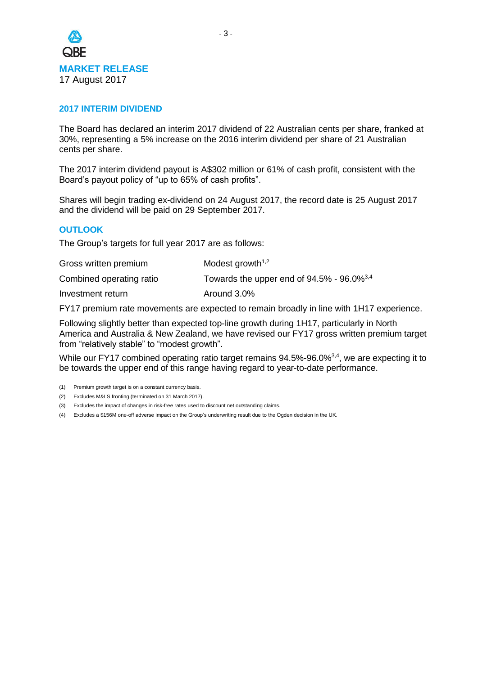

## **2017 INTERIM DIVIDEND**

The Board has declared an interim 2017 dividend of 22 Australian cents per share, franked at 30%, representing a 5% increase on the 2016 interim dividend per share of 21 Australian cents per share.

The 2017 interim dividend payout is A\$302 million or 61% of cash profit, consistent with the Board's payout policy of "up to 65% of cash profits".

Shares will begin trading ex-dividend on 24 August 2017, the record date is 25 August 2017 and the dividend will be paid on 29 September 2017.

## **OUTLOOK**

The Group's targets for full year 2017 are as follows:

| Gross written premium    | Modest growth <sup><math>1,2</math></sup>                   |
|--------------------------|-------------------------------------------------------------|
| Combined operating ratio | Towards the upper end of $94.5\%$ - $96.0\%$ <sup>3,4</sup> |
| Investment return        | Around 3.0%                                                 |

FY17 premium rate movements are expected to remain broadly in line with 1H17 experience.

Following slightly better than expected top-line growth during 1H17, particularly in North America and Australia & New Zealand, we have revised our FY17 gross written premium target from "relatively stable" to "modest growth".

While our FY17 combined operating ratio target remains 94.5%-96.0%<sup>3,4</sup>, we are expecting it to be towards the upper end of this range having regard to year-to-date performance.

- (2) Excludes M&LS fronting (terminated on 31 March 2017).
- (3) Excludes the impact of changes in risk-free rates used to discount net outstanding claims.
- (4) Excludes a \$156M one-off adverse impact on the Group's underwriting result due to the Ogden decision in the UK.

<sup>(1)</sup> Premium growth target is on a constant currency basis.